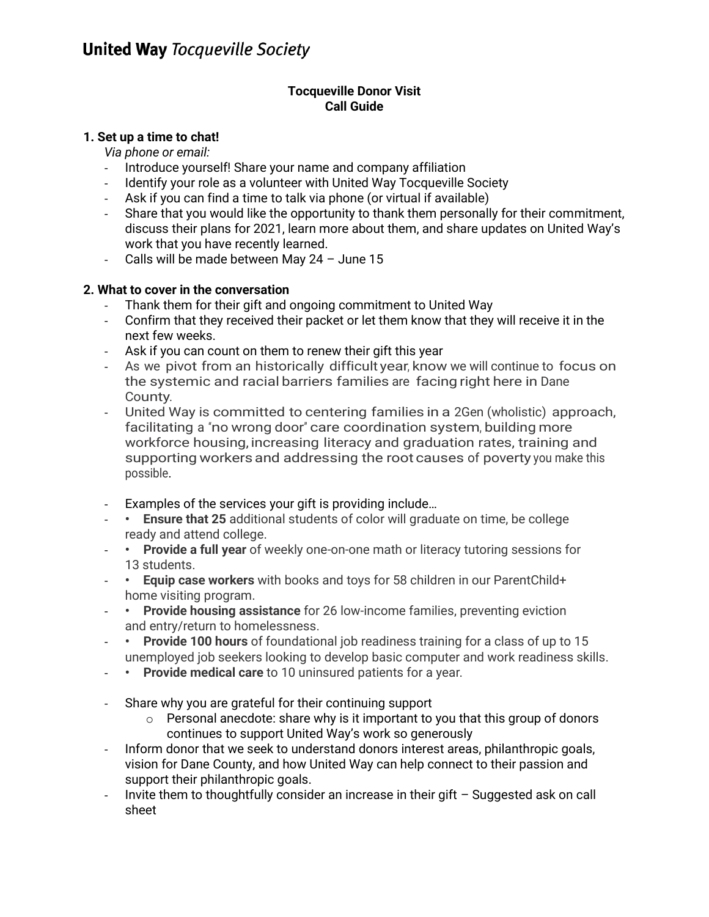## **Tocqueville Donor Visit Call Guide**

# **1. Set up a time to chat!**

*Via phone or email:*

- Introduce yourself! Share your name and company affiliation
- Identify your role as a volunteer with United Way Tocqueville Society
- Ask if you can find a time to talk via phone (or virtual if available)
- Share that you would like the opportunity to thank them personally for their commitment, discuss their plans for 2021, learn more about them, and share updates on United Way's work that you have recently learned.
- Calls will be made between May 24 June 15

# **2. What to cover in the conversation**

- Thank them for their gift and ongoing commitment to United Way
- Confirm that they received their packet or let them know that they will receive it in the next few weeks.
- Ask if you can count on them to renew their gift this year
- As we pivot from an historically difficult year, know we will continue to focus on the systemic and racial barriers families are facing right here in Dane County.
- United Way is committed to centering families in a 2Gen (wholistic) approach, facilitating a "no wrong door" care coordination system, building more workforce housing, increasing literacy and graduation rates, training and supporting workers and addressing the root causes of poverty you make this possible.
- Examples of the services your gift is providing include…
- **Ensure that 25** additional students of color will graduate on time, be college ready and attend college.
- **Provide a full year** of weekly one-on-one math or literacy tutoring sessions for 13 students.
- **Equip case workers** with books and toys for 58 children in our ParentChild+ home visiting program.
- **Provide housing assistance** for 26 low-income families, preventing eviction and entry/return to homelessness.
- **Provide 100 hours** of foundational job readiness training for a class of up to 15 unemployed job seekers looking to develop basic computer and work readiness skills.
- **Provide medical care** to 10 uninsured patients for a year.
- Share why you are grateful for their continuing support
	- $\circ$  Personal anecdote: share why is it important to you that this group of donors continues to support United Way's work so generously
- Inform donor that we seek to understand donors interest areas, philanthropic goals, vision for Dane County, and how United Way can help connect to their passion and support their philanthropic goals.
- Invite them to thoughtfully consider an increase in their gift  $-$  Suggested ask on call sheet